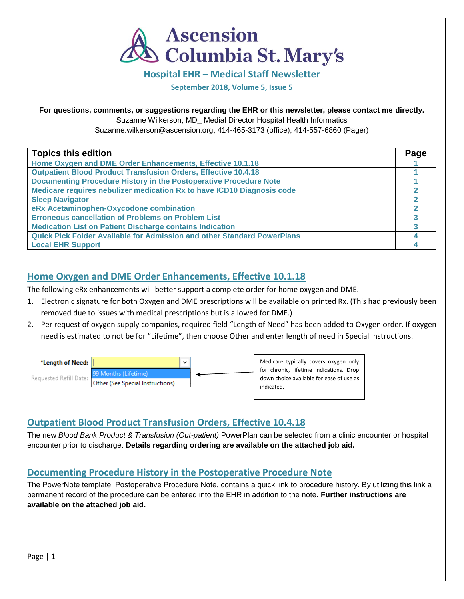

**Hospital EHR – Medical Staff Newsletter**

**September 2018, Volume 5, Issue 5**

#### **For questions, comments, or suggestions regarding the EHR or this newsletter, please contact me directly.**

Suzanne Wilkerson, MD\_ Medial Director Hospital Health Informatics

Suzanne.wilkerson@ascension.org, 414-465-3173 (office), 414-557-6860 (Pager)

| <b>Topics this edition</b>                                              | Page |
|-------------------------------------------------------------------------|------|
| Home Oxygen and DME Order Enhancements, Effective 10.1.18               |      |
| <b>Outpatient Blood Product Transfusion Orders, Effective 10.4.18</b>   |      |
| Documenting Procedure History in the Postoperative Procedure Note       |      |
| Medicare requires nebulizer medication Rx to have ICD10 Diagnosis code  |      |
| <b>Sleep Navigator</b>                                                  |      |
| eRx Acetaminophen-Oxycodone combination                                 |      |
| <b>Erroneous cancellation of Problems on Problem List</b>               |      |
| <b>Medication List on Patient Discharge contains Indication</b>         |      |
| Quick Pick Folder Available for Admission and other Standard PowerPlans |      |
| <b>Local EHR Support</b>                                                |      |

# **Home Oxygen and DME Order Enhancements, Effective 10.1.18**

The following eRx enhancements will better support a complete order for home oxygen and DME.

- 1. Electronic signature for both Oxygen and DME prescriptions will be available on printed Rx. (This had previously been removed due to issues with medical prescriptions but is allowed for DME.)
- 2. Per request of oxygen supply companies, required field "Length of Need" has been added to Oxygen order. If oxygen need is estimated to not be for "Lifetime", then choose Other and enter length of need in Special Instructions.



# **Outpatient Blood Product Transfusion Orders, Effective 10.4.18**

The new *Blood Bank Product & Transfusion (Out-patient)* PowerPlan can be selected from a clinic encounter or hospital encounter prior to discharge. **Details regarding ordering are available on the attached job aid.**

# **Documenting Procedure History in the Postoperative Procedure Note**

The PowerNote template, Postoperative Procedure Note, contains a quick link to procedure history. By utilizing this link a permanent record of the procedure can be entered into the EHR in addition to the note. **Further instructions are available on the attached job aid.**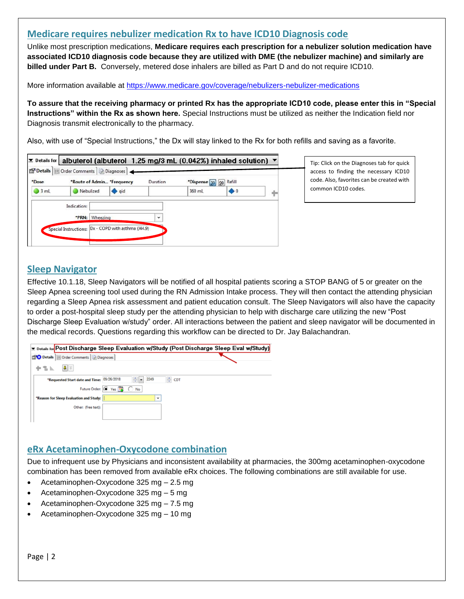## **Medicare requires nebulizer medication Rx to have ICD10 Diagnosis code**

Unlike most prescription medications, **Medicare requires each prescription for a nebulizer solution medication have associated ICD10 diagnosis code because they are utilized with DME (the nebulizer machine) and similarly are billed under Part B.** Conversely, metered dose inhalers are billed as Part D and do not require ICD10.

More information available at<https://www.medicare.gov/coverage/nebulizers-nebulizer-medications>

**To assure that the receiving pharmacy or printed Rx has the appropriate ICD10 code, please enter this in "Special Instructions" within the Rx as shown here.** Special Instructions must be utilized as neither the Indication field nor Diagnosis transmit electronically to the pharmacy.

Also, with use of "Special Instructions," the Dx will stay linked to the Rx for both refills and saving as a favorite.

| *Dose |             |                | *Route of Admin *Frequency | Duration     | *Dispense 30 90 | Refill      |  |
|-------|-------------|----------------|----------------------------|--------------|-----------------|-------------|--|
| 3 mL  | Nebulized   |                | qid                        |              | 360 mL          | $\bullet$ 0 |  |
|       | Indication: |                |                            |              |                 |             |  |
|       |             | *PRN: Wheezing |                            | $\checkmark$ |                 |             |  |

Tip: Click on the Diagnoses tab for quick access to finding the necessary ICD10 code. Also, favorites can be created with common ICD10 codes.

# **Sleep Navigator**

Effective 10.1.18, Sleep Navigators will be notified of all hospital patients scoring a STOP BANG of 5 or greater on the Sleep Apnea screening tool used during the RN Admission Intake process. They will then contact the attending physician regarding a Sleep Apnea risk assessment and patient education consult. The Sleep Navigators will also have the capacity to order a post-hospital sleep study per the attending physician to help with discharge care utilizing the new "Post Discharge Sleep Evaluation w/study" order. All interactions between the patient and sleep navigator will be documented in the medical records. Questions regarding this workflow can be directed to Dr. Jay Balachandran.

|                                             |                              | <b>Ex</b> Details for <b>Post Discharge Sleep Evaluation w/Study</b> (Post Discharge Sleep Eval w/Study) |
|---------------------------------------------|------------------------------|----------------------------------------------------------------------------------------------------------|
| Diagnoses                                   |                              |                                                                                                          |
| $\vert \mathbf{J} \vert \times$<br>$+$ 3 k. |                              |                                                                                                          |
| *Requested Start date and Time: 09/26/2018  | $\frac{1}{2}$ $\bullet$ 2249 | ≑ CDT                                                                                                    |
|                                             | Future Order: O Yes 13 O No  |                                                                                                          |
| *Reason for Sleep Evaluation and Study:     | $\checkmark$                 |                                                                                                          |
| Other: (free text):                         |                              |                                                                                                          |
|                                             |                              |                                                                                                          |

### **eRx Acetaminophen-Oxycodone combination**

Due to infrequent use by Physicians and inconsistent availability at pharmacies, the 300mg acetaminophen-oxycodone combination has been removed from available eRx choices. The following combinations are still available for use.

- Acetaminophen-Oxycodone 325 mg 2.5 mg
- Acetaminophen-Oxycodone 325 mg 5 mg
- Acetaminophen-Oxycodone 325 mg 7.5 mg
- Acetaminophen-Oxycodone 325 mg 10 mg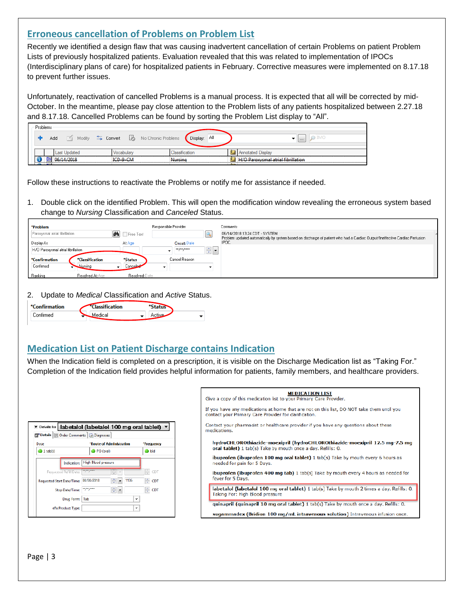## **Erroneous cancellation of Problems on Problem List**

Recently we identified a design flaw that was causing inadvertent cancellation of certain Problems on patient Problem Lists of previously hospitalized patients. Evaluation revealed that this was related to implementation of IPOCs (Interdisciplinary plans of care) for hospitalized patients in February. Corrective measures were implemented on 8.17.18 to prevent further issues.

Unfortunately, reactivation of cancelled Problems is a manual process. It is expected that all will be corrected by mid-October. In the meantime, please pay close attention to the Problem lists of any patients hospitalized between 2.27.18 and 8.17.18. Cancelled Problems can be found by sorting the Problem List display to "All".

|                                                                   |  | Problems |     |                                 |              |                                    |  |          |     |  |          |
|-------------------------------------------------------------------|--|----------|-----|---------------------------------|--------------|------------------------------------|--|----------|-----|--|----------|
|                                                                   |  |          | Add | Modify <b>Sonvert</b><br>$\sim$ |              | No Chronic Problems                |  | Display: | Αll |  | $\cdots$ |
|                                                                   |  |          |     | Last Updated                    | /ocabular    |                                    |  |          |     |  |          |
| ICD-9-CM<br>00/14/2018<br>متممتن ومناف<br><b>CALCULATION CONT</b> |  | Nursing  |     |                                 | <b>COLOR</b> | H/O Paroxysmal atrial fibrillation |  |          |     |  |          |

Follow these instructions to reactivate the Problems or notify me for assistance if needed.

1. Double click on the identified Problem. This will open the modification window revealing the erroneous system based change to *Nursing* Classification and *Canceled* Status.

| *Problem                           |                                |                | Responsible Provider |                                    | Comments                                                                                                                                                      |
|------------------------------------|--------------------------------|----------------|----------------------|------------------------------------|---------------------------------------------------------------------------------------------------------------------------------------------------------------|
| Paroxysmal atrial fibrillation     | 44                             | Free Text      |                      |                                    | 06/14/2018 13:24 CDT - SYSTEM<br>Problem updated automatically by system based on discharge of patient who had a Cardiac Output/Ineffective Cardiac Perfusion |
| Display As                         |                                | <b>At Age</b>  | Onset: Date          |                                    | IPOC.                                                                                                                                                         |
| H/O Paroxysmal atrial fibrillation |                                |                | ка разрана           | $\left\  \cdot \right\ $ ,<br>×IL. |                                                                                                                                                               |
| *Confirmation                      | *Classification                | *Status        | Cancel Reason        |                                    |                                                                                                                                                               |
| Confirmed                          | <u>Nursing</u><br>$\mathbf{r}$ | Canceled       |                      |                                    |                                                                                                                                                               |
| Ranking                            | Resolved At: Age               | Resolved: Date |                      |                                    |                                                                                                                                                               |

2. Update to *Medical* Classification and *Active* Status.



# **Medication List on Patient Discharge contains Indication**

When the Indication field is completed on a prescription, it is visible on the Discharge Medication list as "Taking For." Completion of the Indication field provides helpful information for patients, family members, and healthcare providers.

|                                              | ▼ Details for   labetalol (labetalol 100 mg oral tablet) ▼ |            |
|----------------------------------------------|------------------------------------------------------------|------------|
| Details   Details Order Comments   Diagnoses |                                                            |            |
| Dose                                         | <b>*Route of Administration</b>                            | *Frequency |
| $1$ tab(s)                                   | PO (oral)                                                  | bid        |
| Indication:                                  | High Blood pressure                                        |            |
| Requested Refill Date:                       | <b>The programs</b>                                        | ÷<br>CDT   |
| <b>Requested Start Date/Time:</b>            | 08/08/2018<br>1135                                         | CDT        |
| Stop Date/Time:                              | ÷ŀ                                                         | CDT        |
| <b>Drug Form:</b>                            | Tab<br>v                                                   |            |
| eRx Product Type:                            | ۰                                                          |            |
|                                              |                                                            |            |

| <b>MEDICATION LIST</b><br>Give a copy of this medication list to your Primary Care Provider.                                                       |
|----------------------------------------------------------------------------------------------------------------------------------------------------|
| If you have any medications at home that are not on this list, DO NOT take them until you<br>contact your Primary Care Provider for clarification. |
| Contact your pharmacist or healthcare provider if you have any questions about these<br>medications.                                               |
| hydroCHLOROthiazide-moexipril (hydroCHLOROthiazide-moexipril 12.5 mg-7.5 mg<br>oral tablet) 1 tab(s) Take by mouth once a day. Refills: 0.         |
| ibuprofen (ibuprofen 100 mg oral tablet) 1 tab(s) Take by mouth every 6 hours as<br>needed for pain for 5 Days.                                    |
| <b>ibuprofen (ibuprofen 400 mg tab)</b> 1 tab(s) Take by mouth every 4 hours as needed for<br>fever for 5 Days.                                    |
| labetalol (labetalol 100 mg oral tablet) 1 tab(s) Take by mouth 2 times a day. Refills: 0.<br>Taking For: High Blood pressure                      |
| quinapril (quinapril 10 mg oral tablet) 1 tab(s) Take by mouth once a day. Refills: 0.                                                             |
| sugammadex (Bridion 100 mg/mL intravenous solution) Intravenous infusion once.                                                                     |